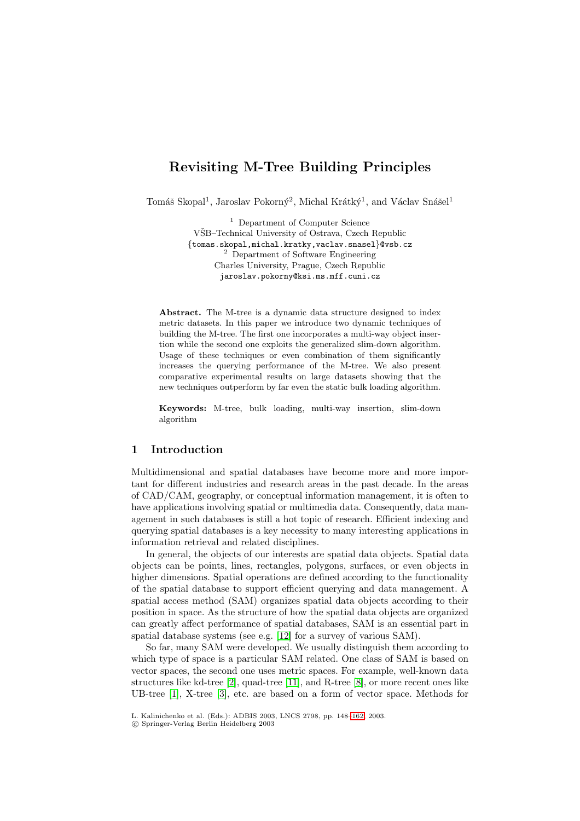# **Revisiting M-Tree Building Principles**

Tomáš Skopal<sup>1</sup>, Jaroslav Pokorný<sup>2</sup>, Michal Krátký<sup>1</sup>, and Václav Snášel<sup>1</sup>

<sup>1</sup> Department of Computer Science VŠB–Technical University of Ostrava, Czech Republic {tomas.skopal,michal.kratky,vaclav.snasel}@vsb.cz <sup>2</sup> Department of Software Engineering Charles University, Prague, Czech Republic jaroslav.pokorny@ksi.ms.mff.cuni.cz

**Abstract.** The M-tree is a dynamic data structure designed to index metric datasets. In this paper we introduce two dynamic techniques of building the M-tree. The first one incorporates a multi-way object insertion while the second one exploits the generalized slim-down algorithm. Usage of these techniques or even combination of them significantly increases the querying performance of the M-tree. We also present comparative experimental results on large datasets showing that the new techniques outperform by far even the static bulk loading algorithm.

**Keywords:** M-tree, bulk loading, multi-way insertion, slim-down algorithm

## **1 Introduction**

Multidimensional and spatial databases have become more and more important for different industries and research areas in the past decade. In the areas of CAD/CAM, geography, or conceptual information management, it is often to have applications involving spatial or multimedia data. Consequently, data management in such databases is still a hot topic of research. Efficient indexing and querying spatial databases is a key necessity to many interesting applications in information retrieval and related disciplines.

In general, the objects of our interests are spatial data objects. Spatial data objects can be points, lines, rectangles, polygons, surfaces, or even objects in higher dimensions. Spatial operations are defined according to the functionality of the spatial database to support efficient querying and data management. A spatial access method (SAM) organizes spatial data objects according to their position in space. As the structure of how the spatial data objects are organized can greatly affect performance of spatial databases, SAM is an essential part in spatial database systems (see e.g. [\[12\]](#page-14-0) for a survey of various SAM).

So far, many SAM were developed. We usually distinguish them according to which type of space is a particular SAM related. One class of SAM is based on vector spaces, the second one uses metric spaces. For example, well-known data structures like kd-tree [\[2\]](#page-13-0), quad-tree [\[11\]](#page-14-0), and R-tree [\[8\]](#page-14-0), or more recent ones like UB-tree [\[1\]](#page-13-0), X-tree [\[3\]](#page-13-0), etc. are based on a form of vector space. Methods for

c Springer-Verlag Berlin Heidelberg 2003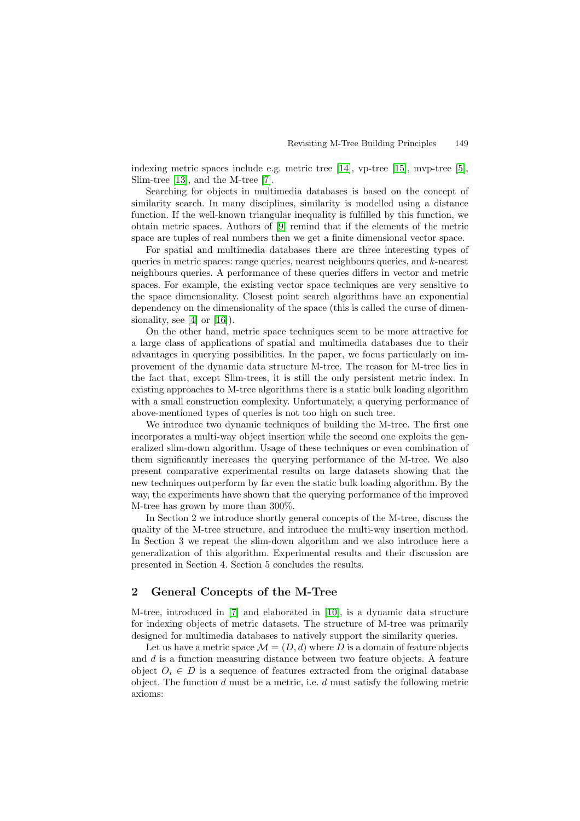indexing metric spaces include e.g. metric tree [\[14\]](#page-14-0), vp-tree [\[15\]](#page-14-0), mvp-tree [\[5\]](#page-13-0), Slim-tree [\[13\]](#page-14-0), and the M-tree [\[7\]](#page-13-0).

Searching for objects in multimedia databases is based on the concept of similarity search. In many disciplines, similarity is modelled using a distance function. If the well-known triangular inequality is fulfilled by this function, we obtain metric spaces. Authors of [\[9\]](#page-14-0) remind that if the elements of the metric space are tuples of real numbers then we get a finite dimensional vector space.

For spatial and multimedia databases there are three interesting types of queries in metric spaces: range queries, nearest neighbours queries, and k-nearest neighbours queries. A performance of these queries differs in vector and metric spaces. For example, the existing vector space techniques are very sensitive to the space dimensionality. Closest point search algorithms have an exponential dependency on the dimensionality of the space (this is called the curse of dimensionality, see [\[4\]](#page-13-0) or [\[16\]](#page-14-0)).

On the other hand, metric space techniques seem to be more attractive for a large class of applications of spatial and multimedia databases due to their advantages in querying possibilities. In the paper, we focus particularly on improvement of the dynamic data structure M-tree. The reason for M-tree lies in the fact that, except Slim-trees, it is still the only persistent metric index. In existing approaches to M-tree algorithms there is a static bulk loading algorithm with a small construction complexity. Unfortunately, a querying performance of above-mentioned types of queries is not too high on such tree.

We introduce two dynamic techniques of building the M-tree. The first one incorporates a multi-way object insertion while the second one exploits the generalized slim-down algorithm. Usage of these techniques or even combination of them significantly increases the querying performance of the M-tree. We also present comparative experimental results on large datasets showing that the new techniques outperform by far even the static bulk loading algorithm. By the way, the experiments have shown that the querying performance of the improved M-tree has grown by more than 300%.

In Section 2 we introduce shortly general concepts of the M-tree, discuss the quality of the M-tree structure, and introduce the multi-way insertion method. In Section 3 we repeat the slim-down algorithm and we also introduce here a generalization of this algorithm. Experimental results and their discussion are presented in Section 4. Section 5 concludes the results.

## **2 General Concepts of the M-Tree**

M-tree, introduced in [\[7\]](#page-13-0) and elaborated in [\[10\]](#page-14-0), is a dynamic data structure for indexing objects of metric datasets. The structure of M-tree was primarily designed for multimedia databases to natively support the similarity queries.

Let us have a metric space  $\mathcal{M} = (D, d)$  where D is a domain of feature objects and d is a function measuring distance between two feature objects. A feature object  $O_i \in D$  is a sequence of features extracted from the original database object. The function  $d$  must be a metric, i.e.  $d$  must satisfy the following metric axioms: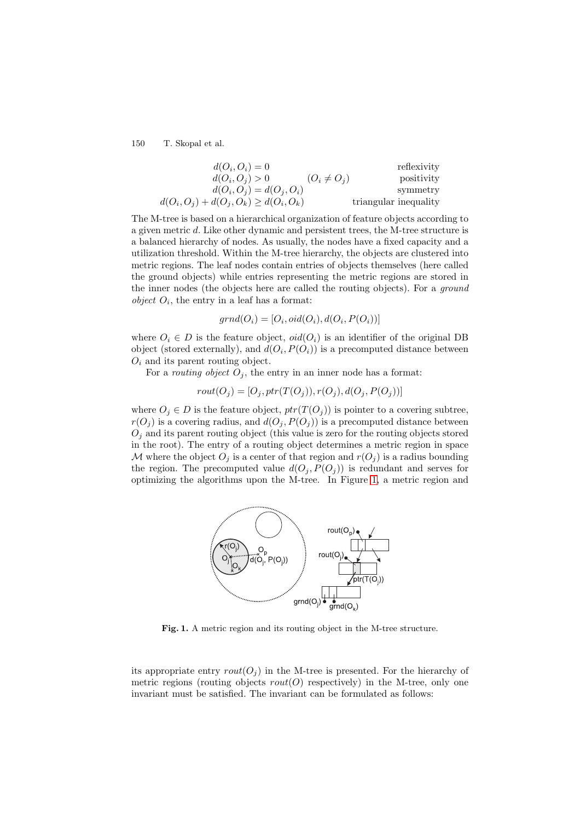$$
d(O_i, O_i) = 0
$$
reflexivity  
\n
$$
d(O_i, O_j) > 0
$$
 (O<sub>i</sub>  $\neq O_j$ ) positivity  
\n
$$
d(O_i, O_j) = d(O_j, O_i)
$$
symmetry  
\n
$$
d(O_i, O_j) + d(O_j, O_k) \geq d(O_i, O_k)
$$
triangular inequality

The M-tree is based on a hierarchical organization of feature objects according to a given metric d. Like other dynamic and persistent trees, the M-tree structure is a balanced hierarchy of nodes. As usually, the nodes have a fixed capacity and a utilization threshold. Within the M-tree hierarchy, the objects are clustered into metric regions. The leaf nodes contain entries of objects themselves (here called the ground objects) while entries representing the metric regions are stored in the inner nodes (the objects here are called the routing objects). For a *ground object*  $O_i$ , the entry in a leaf has a format:

$$
grnd(O_i) = [O_i, oid(O_i), d(O_i, P(O_i))]
$$

where  $O_i \in D$  is the feature object,  $oid(O_i)$  is an identifier of the original DB object (stored externally), and  $d(O_i, P(O_i))$  is a precomputed distance between  $O_i$  and its parent routing object.

For a *routing object*  $O_j$ , the entry in an inner node has a format:

$$
rout(O_j) = [O_j,ptr(T(O_j)),r(O_j),d(O_j,P(O_j))]
$$

where  $O_j \in D$  is the feature object,  $ptr(T(O_j))$  is pointer to a covering subtree,  $r(O_i)$  is a covering radius, and  $d(O_i, P(O_i))$  is a precomputed distance between  $O_i$  and its parent routing object (this value is zero for the routing objects stored in the root). The entry of a routing object determines a metric region in space M where the object  $O_j$  is a center of that region and  $r(O_j)$  is a radius bounding the region. The precomputed value  $d(O_i, P(O_i))$  is redundant and serves for optimizing the algorithms upon the M-tree. In Figure 1, a metric region and



**Fig. 1.** A metric region and its routing object in the M-tree structure.

its appropriate entry  $rout(O_i)$  in the M-tree is presented. For the hierarchy of metric regions (routing objects  $rout(O)$  respectively) in the M-tree, only one invariant must be satisfied. The invariant can be formulated as follows: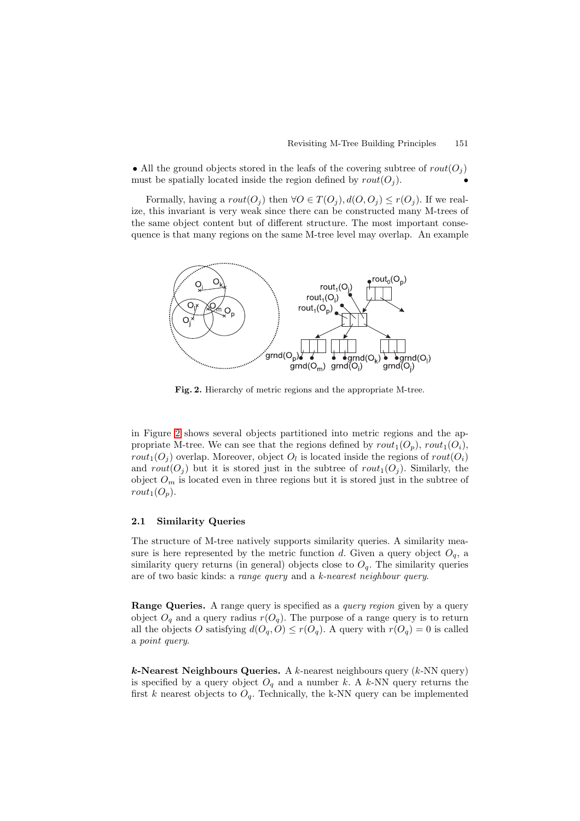• All the ground objects stored in the leafs of the covering subtree of  $rout(O_i)$ must be spatially located inside the region defined by  $rout(O_i)$ .

Formally, having a  $rout(O_j)$  then  $\forall O \in T(O_j), d(O, O_j) \leq r(O_j)$ . If we realize, this invariant is very weak since there can be constructed many M-trees of the same object content but of different structure. The most important consequence is that many regions on the same M-tree level may overlap. An example



**Fig. 2.** Hierarchy of metric regions and the appropriate M-tree.

in Figure 2 shows several objects partitioned into metric regions and the appropriate M-tree. We can see that the regions defined by  $rout_1(O_p)$ ,  $rout_1(O_i)$ , rout<sub>1</sub>( $O_i$ ) overlap. Moreover, object  $O_i$  is located inside the regions of rout $(O_i)$ and  $rout(O_i)$  but it is stored just in the subtree of  $rout_1(O_i)$ . Similarly, the object  $O_m$  is located even in three regions but it is stored just in the subtree of  $rout_1(O_p).$ 

#### **2.1 Similarity Queries**

The structure of M-tree natively supports similarity queries. A similarity measure is here represented by the metric function d. Given a query object  $O_q$ , a similarity query returns (in general) objects close to  $O_q$ . The similarity queries are of two basic kinds: a *range query* and a *k-nearest neighbour query*.

**Range Queries.** A range query is specified as a *query region* given by a query object  $O_q$  and a query radius  $r(O_q)$ . The purpose of a range query is to return all the objects O satisfying  $d(O_q, O) \leq r(O_q)$ . A query with  $r(O_q) = 0$  is called a *point query*.

*k***-Nearest Neighbours Queries.** A k-nearest neighbours query (k-NN query) is specified by a query object  $O_q$  and a number k. A k-NN query returns the first k nearest objects to  $O_q$ . Technically, the k-NN query can be implemented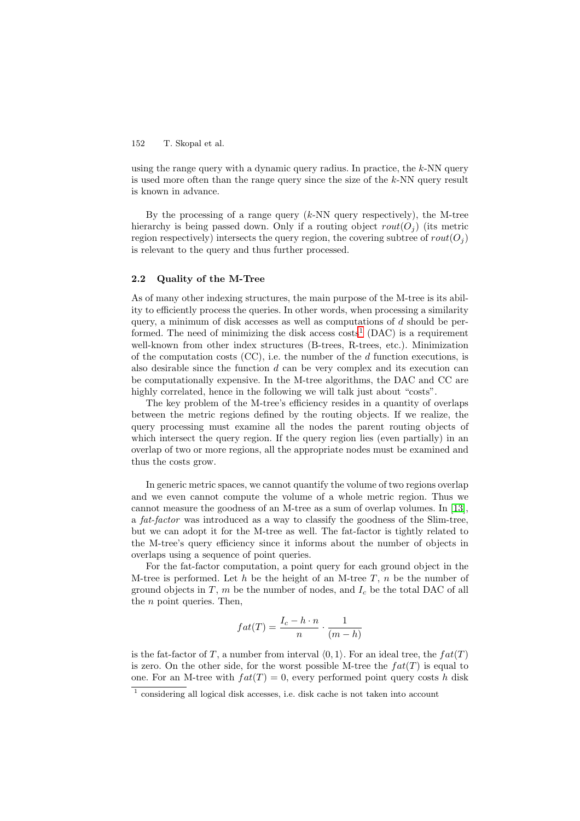using the range query with a dynamic query radius. In practice, the  $k$ -NN query is used more often than the range query since the size of the k-NN query result is known in advance.

By the processing of a range query  $(k-NN)$  query respectively), the M-tree hierarchy is being passed down. Only if a routing object  $rout(O_i)$  (its metric region respectively) intersects the query region, the covering subtree of  $rout(O<sub>i</sub>)$ is relevant to the query and thus further processed.

## **2.2 Quality of the M-Tree**

As of many other indexing structures, the main purpose of the M-tree is its ability to efficiently process the queries. In other words, when processing a similarity query, a minimum of disk accesses as well as computations of  $d$  should be performed. The need of minimizing the disk access  $\text{costs}^1$  (DAC) is a requirement well-known from other index structures (B-trees, R-trees, etc.). Minimization of the computation costs  $(CC)$ , i.e. the number of the  $d$  function executions, is also desirable since the function  $d$  can be very complex and its execution can be computationally expensive. In the M-tree algorithms, the DAC and CC are highly correlated, hence in the following we will talk just about "costs".

The key problem of the M-tree's efficiency resides in a quantity of overlaps between the metric regions defined by the routing objects. If we realize, the query processing must examine all the nodes the parent routing objects of which intersect the query region. If the query region lies (even partially) in an overlap of two or more regions, all the appropriate nodes must be examined and thus the costs grow.

In generic metric spaces, we cannot quantify the volume of two regions overlap and we even cannot compute the volume of a whole metric region. Thus we cannot measure the goodness of an M-tree as a sum of overlap volumes. In [\[13\]](#page-14-0), a *fat-factor* was introduced as a way to classify the goodness of the Slim-tree, but we can adopt it for the M-tree as well. The fat-factor is tightly related to the M-tree's query efficiency since it informs about the number of objects in overlaps using a sequence of point queries.

For the fat-factor computation, a point query for each ground object in the M-tree is performed. Let  $h$  be the height of an M-tree  $T$ ,  $n$  be the number of ground objects in  $T$ ,  $m$  be the number of nodes, and  $I_c$  be the total DAC of all the  $n$  point queries. Then,

$$
fat(T) = \frac{I_c - h \cdot n}{n} \cdot \frac{1}{(m - h)}
$$

is the fat-factor of T, a number from interval  $(0, 1)$ . For an ideal tree, the  $fat(T)$ is zero. On the other side, for the worst possible M-tree the  $fat(T)$  is equal to one. For an M-tree with  $fat(T) = 0$ , every performed point query costs h disk

 $\frac{1}{1}$  considering all logical disk accesses, i.e. disk cache is not taken into account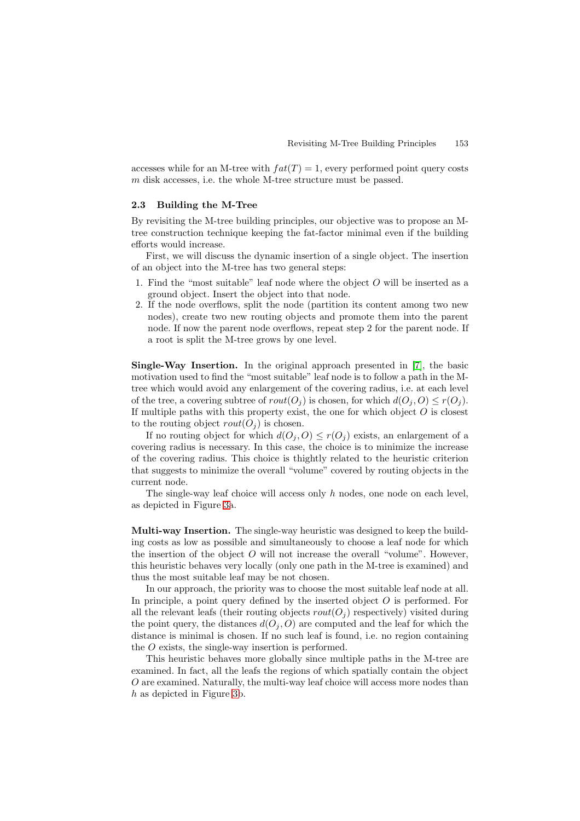accesses while for an M-tree with  $fat(T) = 1$ , every performed point query costs m disk accesses, i.e. the whole M-tree structure must be passed.

#### **2.3 Building the M-Tree**

By revisiting the M-tree building principles, our objective was to propose an Mtree construction technique keeping the fat-factor minimal even if the building efforts would increase.

First, we will discuss the dynamic insertion of a single object. The insertion of an object into the M-tree has two general steps:

- 1. Find the "most suitable" leaf node where the object  $O$  will be inserted as a ground object. Insert the object into that node.
- 2. If the node overflows, split the node (partition its content among two new nodes), create two new routing objects and promote them into the parent node. If now the parent node overflows, repeat step 2 for the parent node. If a root is split the M-tree grows by one level.

**Single-Way Insertion.** In the original approach presented in [\[7\]](#page-13-0), the basic motivation used to find the "most suitable" leaf node is to follow a path in the Mtree which would avoid any enlargement of the covering radius, i.e. at each level of the tree, a covering subtree of  $rout(O_i)$  is chosen, for which  $d(O_i, O) \leq r(O_i)$ . If multiple paths with this property exist, the one for which object  $O$  is closest to the routing object  $rout(O_i)$  is chosen.

If no routing object for which  $d(O_i, O) \leq r(O_i)$  exists, an enlargement of a covering radius is necessary. In this case, the choice is to minimize the increase of the covering radius. This choice is thightly related to the heuristic criterion that suggests to minimize the overall "volume" covered by routing objects in the current node.

The single-way leaf choice will access only h nodes, one node on each level, as depicted in Figure [3a](#page-6-0).

**Multi-way Insertion.** The single-way heuristic was designed to keep the building costs as low as possible and simultaneously to choose a leaf node for which the insertion of the object  $O$  will not increase the overall "volume". However, this heuristic behaves very locally (only one path in the M-tree is examined) and thus the most suitable leaf may be not chosen.

In our approach, the priority was to choose the most suitable leaf node at all. In principle, a point query defined by the inserted object  $O$  is performed. For all the relevant leafs (their routing objects  $rout(O_i)$  respectively) visited during the point query, the distances  $d(O_j, O)$  are computed and the leaf for which the distance is minimal is chosen. If no such leaf is found, i.e. no region containing the O exists, the single-way insertion is performed.

This heuristic behaves more globally since multiple paths in the M-tree are examined. In fact, all the leafs the regions of which spatially contain the object O are examined. Naturally, the multi-way leaf choice will access more nodes than h as depicted in Figure [3b](#page-6-0).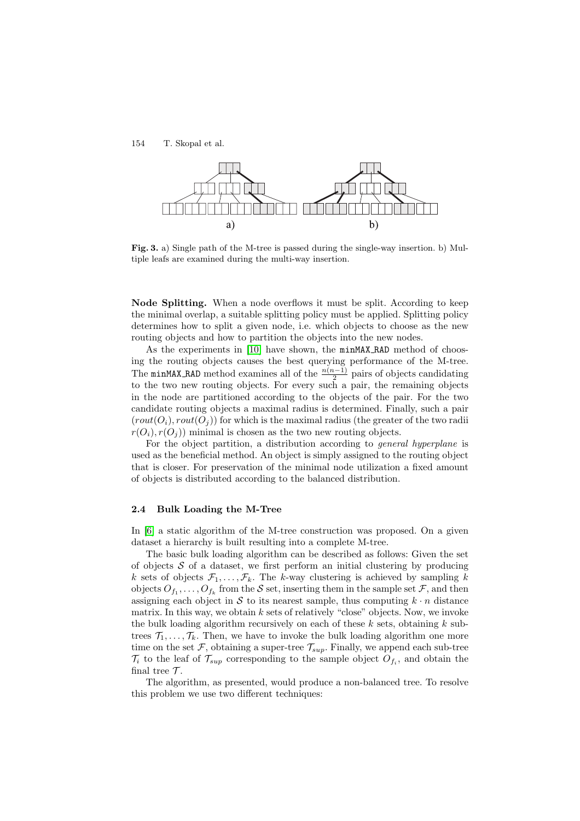<span id="page-6-0"></span>

**Fig. 3.** a) Single path of the M-tree is passed during the single-way insertion. b) Multiple leafs are examined during the multi-way insertion.

**Node Splitting.** When a node overflows it must be split. According to keep the minimal overlap, a suitable splitting policy must be applied. Splitting policy determines how to split a given node, i.e. which objects to choose as the new routing objects and how to partition the objects into the new nodes.

As the experiments in [\[10\]](#page-14-0) have shown, the minMAX RAD method of choosing the routing objects causes the best querying performance of the M-tree. The minMAX\_RAD method examines all of the  $\frac{n(n-1)}{2}$  pairs of objects candidating to the two new routing objects. For every such a pair, the remaining objects in the node are partitioned according to the objects of the pair. For the two candidate routing objects a maximal radius is determined. Finally, such a pair  $(rout(O<sub>i</sub>),rout(O<sub>i</sub>))$  for which is the maximal radius (the greater of the two radii  $r(O_i), r(O_j)$  minimal is chosen as the two new routing objects.

For the object partition, a distribution according to *general hyperplane* is used as the beneficial method. An object is simply assigned to the routing object that is closer. For preservation of the minimal node utilization a fixed amount of objects is distributed according to the balanced distribution.

### **2.4 Bulk Loading the M-Tree**

In [\[6\]](#page-13-0) a static algorithm of the M-tree construction was proposed. On a given dataset a hierarchy is built resulting into a complete M-tree.

The basic bulk loading algorithm can be described as follows: Given the set of objects  $S$  of a dataset, we first perform an initial clustering by producing k sets of objects  $\mathcal{F}_1,\ldots,\mathcal{F}_k$ . The k-way clustering is achieved by sampling k objects  $O_{f_1}, \ldots, O_{f_k}$  from the S set, inserting them in the sample set F, and then assigning each object in S to its nearest sample, thus computing  $k \cdot n$  distance matrix. In this way, we obtain  $k$  sets of relatively "close" objects. Now, we invoke the bulk loading algorithm recursively on each of these  $k$  sets, obtaining  $k$  subtrees  $\mathcal{T}_1,\ldots,\mathcal{T}_k$ . Then, we have to invoke the bulk loading algorithm one more time on the set  $\mathcal{F}$ , obtaining a super-tree  $\mathcal{T}_{sup}$ . Finally, we append each sub-tree  $\mathcal{T}_i$  to the leaf of  $\mathcal{T}_{sup}$  corresponding to the sample object  $O_{f_i}$ , and obtain the final tree  $\mathcal{T}$ .

The algorithm, as presented, would produce a non-balanced tree. To resolve this problem we use two different techniques: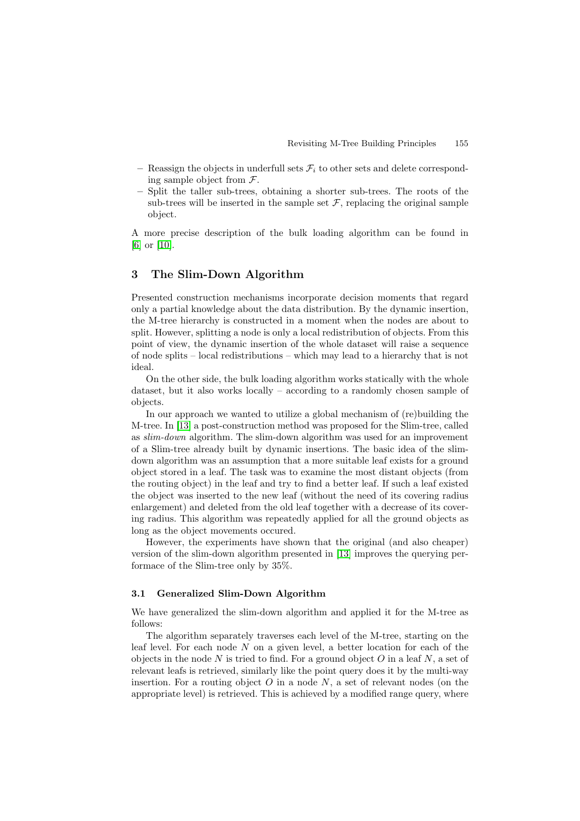- Reassign the objects in underfull sets  $\mathcal{F}_i$  to other sets and delete corresponding sample object from  $\mathcal{F}$ .
- **–** Split the taller sub-trees, obtaining a shorter sub-trees. The roots of the sub-trees will be inserted in the sample set  $\mathcal{F}$ , replacing the original sample object.

A more precise description of the bulk loading algorithm can be found in [\[6\]](#page-13-0) or [\[10\]](#page-14-0).

## **3 The Slim-Down Algorithm**

Presented construction mechanisms incorporate decision moments that regard only a partial knowledge about the data distribution. By the dynamic insertion, the M-tree hierarchy is constructed in a moment when the nodes are about to split. However, splitting a node is only a local redistribution of objects. From this point of view, the dynamic insertion of the whole dataset will raise a sequence of node splits – local redistributions – which may lead to a hierarchy that is not ideal.

On the other side, the bulk loading algorithm works statically with the whole dataset, but it also works locally – according to a randomly chosen sample of objects.

In our approach we wanted to utilize a global mechanism of (re)building the M-tree. In [\[13\]](#page-14-0) a post-construction method was proposed for the Slim-tree, called as *slim-down* algorithm. The slim-down algorithm was used for an improvement of a Slim-tree already built by dynamic insertions. The basic idea of the slimdown algorithm was an assumption that a more suitable leaf exists for a ground object stored in a leaf. The task was to examine the most distant objects (from the routing object) in the leaf and try to find a better leaf. If such a leaf existed the object was inserted to the new leaf (without the need of its covering radius enlargement) and deleted from the old leaf together with a decrease of its covering radius. This algorithm was repeatedly applied for all the ground objects as long as the object movements occured.

However, the experiments have shown that the original (and also cheaper) version of the slim-down algorithm presented in [\[13\]](#page-14-0) improves the querying performace of the Slim-tree only by 35%.

#### **3.1 Generalized Slim-Down Algorithm**

We have generalized the slim-down algorithm and applied it for the M-tree as follows:

The algorithm separately traverses each level of the M-tree, starting on the leaf level. For each node  $N$  on a given level, a better location for each of the objects in the node  $N$  is tried to find. For a ground object  $O$  in a leaf  $N$ , a set of relevant leafs is retrieved, similarly like the point query does it by the multi-way insertion. For a routing object  $O$  in a node  $N$ , a set of relevant nodes (on the appropriate level) is retrieved. This is achieved by a modified range query, where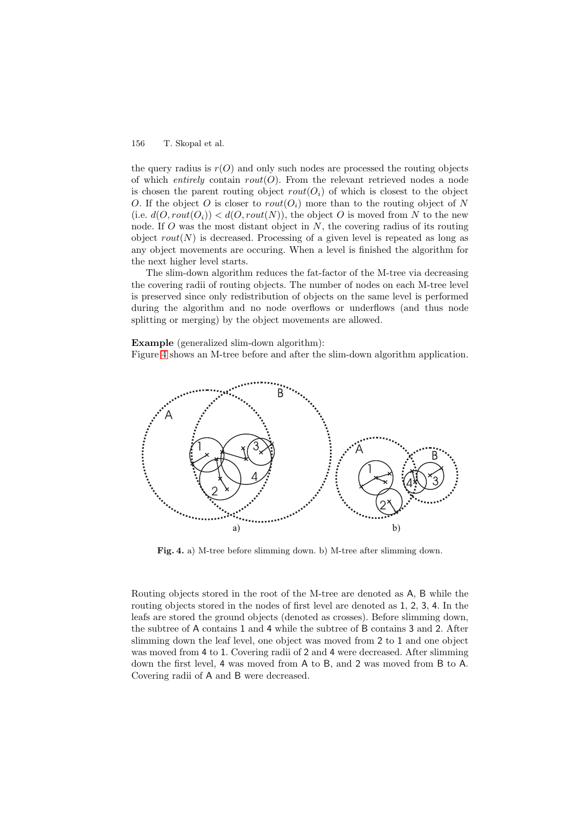the query radius is  $r(0)$  and only such nodes are processed the routing objects of which *entirely* contain  $rout(O)$ . From the relevant retrieved nodes a node is chosen the parent routing object  $rout(O_i)$  of which is closest to the object O. If the object O is closer to  $rout(O_i)$  more than to the routing object of N (i.e.  $d(O, \text{rout}(O_i)) < d(O, \text{rout}(N))$ , the object O is moved from N to the new node. If O was the most distant object in  $N$ , the covering radius of its routing object  $rout(N)$  is decreased. Processing of a given level is repeated as long as any object movements are occuring. When a level is finished the algorithm for the next higher level starts.

The slim-down algorithm reduces the fat-factor of the M-tree via decreasing the covering radii of routing objects. The number of nodes on each M-tree level is preserved since only redistribution of objects on the same level is performed during the algorithm and no node overflows or underflows (and thus node splitting or merging) by the object movements are allowed.

**Example** (generalized slim-down algorithm):

Figure 4 shows an M-tree before and after the slim-down algorithm application.



**Fig. 4.** a) M-tree before slimming down. b) M-tree after slimming down.

Routing objects stored in the root of the M-tree are denoted as A, B while the routing objects stored in the nodes of first level are denoted as 1, 2, 3, 4. In the leafs are stored the ground objects (denoted as crosses). Before slimming down, the subtree of A contains 1 and 4 while the subtree of B contains 3 and 2. After slimming down the leaf level, one object was moved from 2 to 1 and one object was moved from 4 to 1. Covering radii of 2 and 4 were decreased. After slimming down the first level, 4 was moved from A to B, and 2 was moved from B to A. Covering radii of A and B were decreased.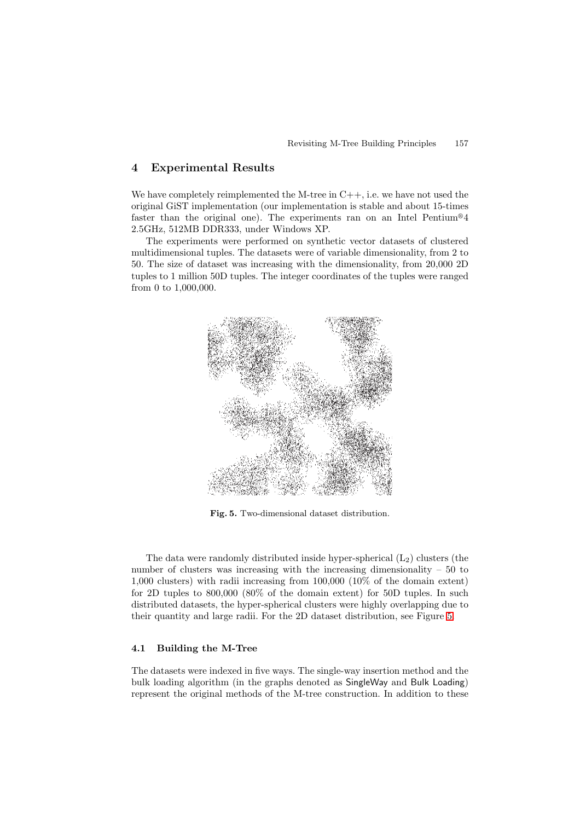## **4 Experimental Results**

We have completely reimplemented the M-tree in  $C_{++}$ , i.e. we have not used the original GiST implementation (our implementation is stable and about 15-times faster than the original one). The experiments ran on an Intel Pentium<sup>®</sup>4 2.5GHz, 512MB DDR333, under Windows XP.

The experiments were performed on synthetic vector datasets of clustered multidimensional tuples. The datasets were of variable dimensionality, from 2 to 50. The size of dataset was increasing with the dimensionality, from 20,000 2D tuples to 1 million 50D tuples. The integer coordinates of the tuples were ranged from 0 to 1,000,000.



**Fig. 5.** Two-dimensional dataset distribution.

The data were randomly distributed inside hyper-spherical  $(L_2)$  clusters (the number of clusters was increasing with the increasing dimensionality  $-50$  to 1,000 clusters) with radii increasing from 100,000 (10% of the domain extent) for 2D tuples to 800,000 (80% of the domain extent) for 50D tuples. In such distributed datasets, the hyper-spherical clusters were highly overlapping due to their quantity and large radii. For the 2D dataset distribution, see Figure 5.

### **4.1 Building the M-Tree**

The datasets were indexed in five ways. The single-way insertion method and the bulk loading algorithm (in the graphs denoted as SingleWay and Bulk Loading) represent the original methods of the M-tree construction. In addition to these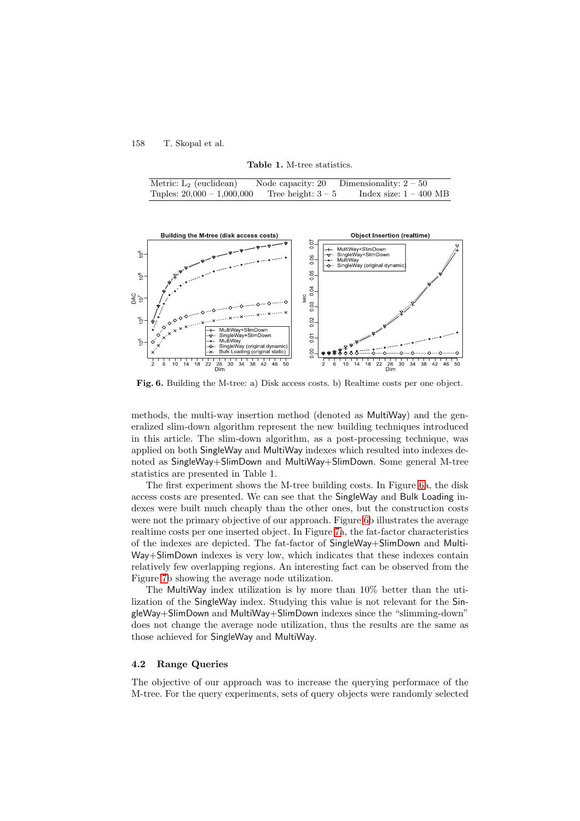|                       | Building the M-tree (disk access costs)                                                                                                           | <b>Object Insertion (realtime)</b>                                                                               |                   |
|-----------------------|---------------------------------------------------------------------------------------------------------------------------------------------------|------------------------------------------------------------------------------------------------------------------|-------------------|
| $^{9}$                |                                                                                                                                                   | 0.07<br>MultiWay+SlimDown<br>SingleWay+SlimDown<br>-የ7-<br>0.06<br>MultiWay<br>SingleWay (original dynamic)<br>↔ |                   |
| $\mathbb{P}^6$<br>Tộ, |                                                                                                                                                   | 0.05<br>0.04<br>sec                                                                                              |                   |
| $^{6}$                | 0000<br>MultiWay+SlimDown                                                                                                                         | 0.03<br>0.02                                                                                                     |                   |
| $10^5$                | SingleWay+SlimDown<br>$\cdot \nabla \cdot$<br>MultiWay<br>SingleWay (original dynamic)<br>⊷<br>Bulk Loading (original static)<br>$\cdot$ $\times$ | 0.01<br>0.00                                                                                                     | - ^ - - - - - - ^ |
|                       | $\overline{2}$<br>50<br>6<br>38<br>เค<br>26<br>Dim                                                                                                | 2<br>38<br>30<br>Dim                                                                                             | 50                |

**Table 1.** M-tree statistics.

Metric:  $L_2$  (euclidean) Node capacity: 20 Dimensionality:  $2-50$ Tuples:  $20,000 - 1,000,000$  Tree height:  $3 - 5$  Index size:  $1 - 400$  MB

**Fig. 6.** Building the M-tree: a) Disk access costs. b) Realtime costs per one object.

methods, the multi-way insertion method (denoted as MultiWay) and the generalized slim-down algorithm represent the new building techniques introduced in this article. The slim-down algorithm, as a post-processing technique, was applied on both SingleWay and MultiWay indexes which resulted into indexes denoted as SingleWay+SlimDown and MultiWay+SlimDown. Some general M-tree statistics are presented in Table 1.

The first experiment shows the M-tree building costs. In Figure 6a, the disk access costs are presented. We can see that the SingleWay and Bulk Loading indexes were built much cheaply than the other ones, but the construction costs were not the primary objective of our approach. Figure 6b illustrates the average realtime costs per one inserted object. In Figure [7a](#page-11-0), the fat-factor characteristics of the indexes are depicted. The fat-factor of SingleWay+SlimDown and Multi-Way+SlimDown indexes is very low, which indicates that these indexes contain relatively few overlapping regions. An interesting fact can be observed from the Figure [7b](#page-11-0) showing the average node utilization.

The MultiWay index utilization is by more than 10% better than the utilization of the SingleWay index. Studying this value is not relevant for the SingleWay+SlimDown and MultiWay+SlimDown indexes since the "slimming-down" does not change the average node utilization, thus the results are the same as those achieved for SingleWay and MultiWay.

### **4.2 Range Queries**

The objective of our approach was to increase the querying performace of the M-tree. For the query experiments, sets of query objects were randomly selected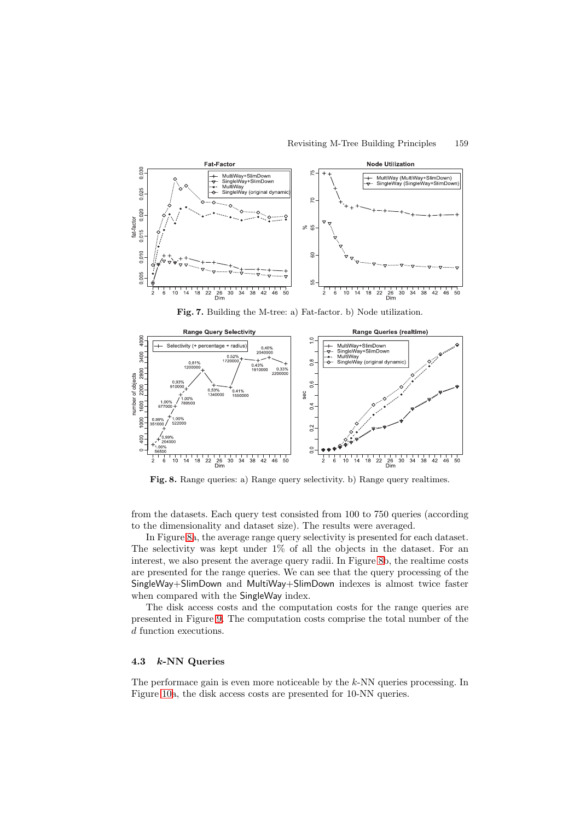<span id="page-11-0"></span>

**Fig. 7.** Building the M-tree: a) Fat-factor. b) Node utilization.



Fig. 8. Range queries: a) Range query selectivity. b) Range query realtimes.

from the datasets. Each query test consisted from 100 to 750 queries (according to the dimensionality and dataset size). The results were averaged.

In Figure 8a, the average range query selectivity is presented for each dataset. The selectivity was kept under 1% of all the objects in the dataset. For an interest, we also present the average query radii. In Figure 8b, the realtime costs are presented for the range queries. We can see that the query processing of the SingleWay+SlimDown and MultiWay+SlimDown indexes is almost twice faster when compared with the SingleWay index.

The disk access costs and the computation costs for the range queries are presented in Figure [9.](#page-12-0) The computation costs comprise the total number of the d function executions.

#### **4.3** *k***-NN Queries**

The performace gain is even more noticeable by the k-NN queries processing. In Figure [10a](#page-12-0), the disk access costs are presented for 10-NN queries.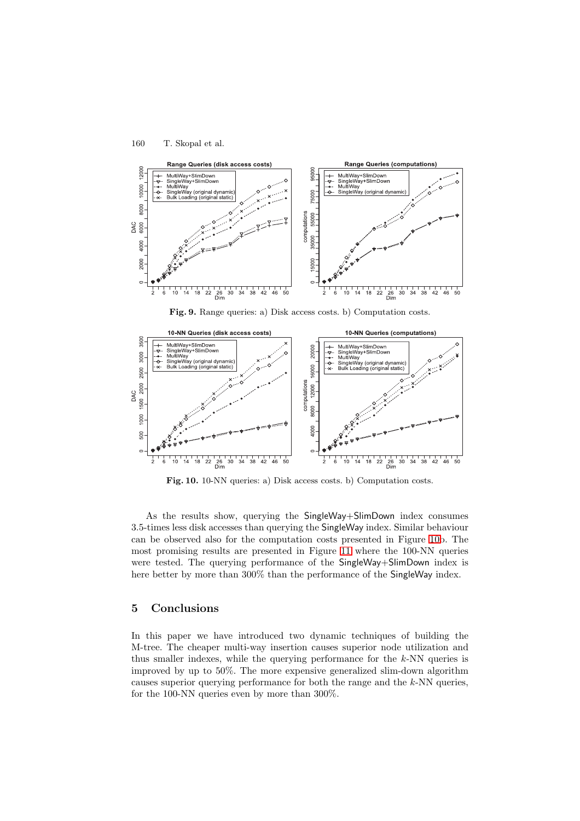<span id="page-12-0"></span>

**Fig. 9.** Range queries: a) Disk access costs. b) Computation costs.



**Fig. 10.** 10-NN queries: a) Disk access costs. b) Computation costs.

As the results show, querying the SingleWay+SlimDown index consumes 3.5-times less disk accesses than querying the SingleWay index. Similar behaviour can be observed also for the computation costs presented in Figure 10b. The most promising results are presented in Figure [11](#page-13-0) where the 100-NN queries were tested. The querying performance of the SingleWay+SlimDown index is here better by more than  $300\%$  than the performance of the SingleWay index.

## **5 Conclusions**

In this paper we have introduced two dynamic techniques of building the M-tree. The cheaper multi-way insertion causes superior node utilization and thus smaller indexes, while the querying performance for the  $k$ -NN queries is improved by up to 50%. The more expensive generalized slim-down algorithm causes superior querying performance for both the range and the k-NN queries, for the 100-NN queries even by more than 300%.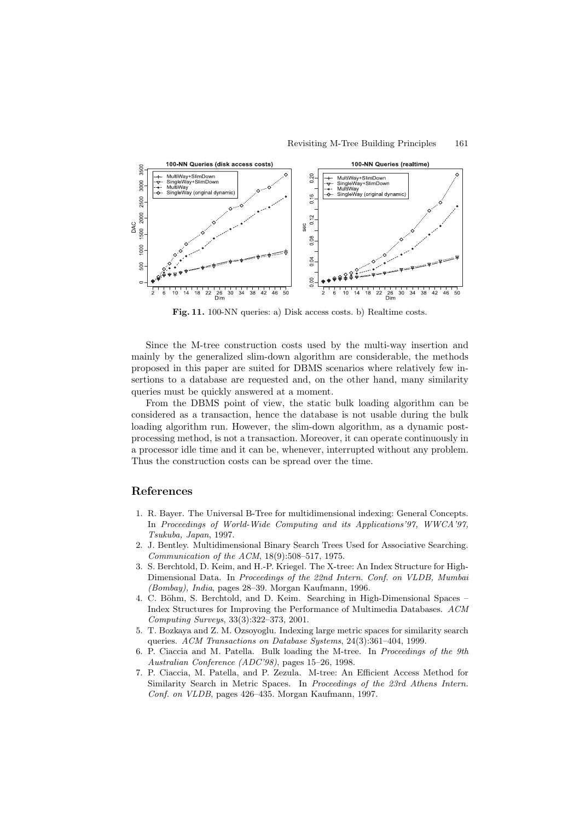<span id="page-13-0"></span>

**Fig. 11.** 100-NN queries: a) Disk access costs. b) Realtime costs.

Since the M-tree construction costs used by the multi-way insertion and mainly by the generalized slim-down algorithm are considerable, the methods proposed in this paper are suited for DBMS scenarios where relatively few insertions to a database are requested and, on the other hand, many similarity queries must be quickly answered at a moment.

From the DBMS point of view, the static bulk loading algorithm can be considered as a transaction, hence the database is not usable during the bulk loading algorithm run. However, the slim-down algorithm, as a dynamic postprocessing method, is not a transaction. Moreover, it can operate continuously in a processor idle time and it can be, whenever, interrupted without any problem. Thus the construction costs can be spread over the time.

## **References**

- 1. R. Bayer. The Universal B-Tree for multidimensional indexing: General Concepts. In Proceedings of World-Wide Computing and its Applications'97, WWCA'97, Tsukuba, Japan, 1997.
- 2. J. Bentley. Multidimensional Binary Search Trees Used for Associative Searching. Communication of the ACM, 18(9):508–517, 1975.
- 3. S. Berchtold, D. Keim, and H.-P. Kriegel. The X-tree: An Index Structure for High-Dimensional Data. In Proceedings of the 22nd Intern. Conf. on VLDB, Mumbai (Bombay), India, pages 28–39. Morgan Kaufmann, 1996.
- 4. C. Böhm, S. Berchtold, and D. Keim. Searching in High-Dimensional Spaces Index Structures for Improving the Performance of Multimedia Databases. ACM Computing Surveys, 33(3):322–373, 2001.
- 5. T. Bozkaya and Z. M. Ozsoyoglu. Indexing large metric spaces for similarity search queries. ACM Transactions on Database Systems, 24(3):361–404, 1999.
- 6. P. Ciaccia and M. Patella. Bulk loading the M-tree. In Proceedings of the 9th Australian Conference (ADC'98), pages 15–26, 1998.
- 7. P. Ciaccia, M. Patella, and P. Zezula. M-tree: An Efficient Access Method for Similarity Search in Metric Spaces. In Proceedings of the 23rd Athens Intern. Conf. on VLDB, pages 426–435. Morgan Kaufmann, 1997.